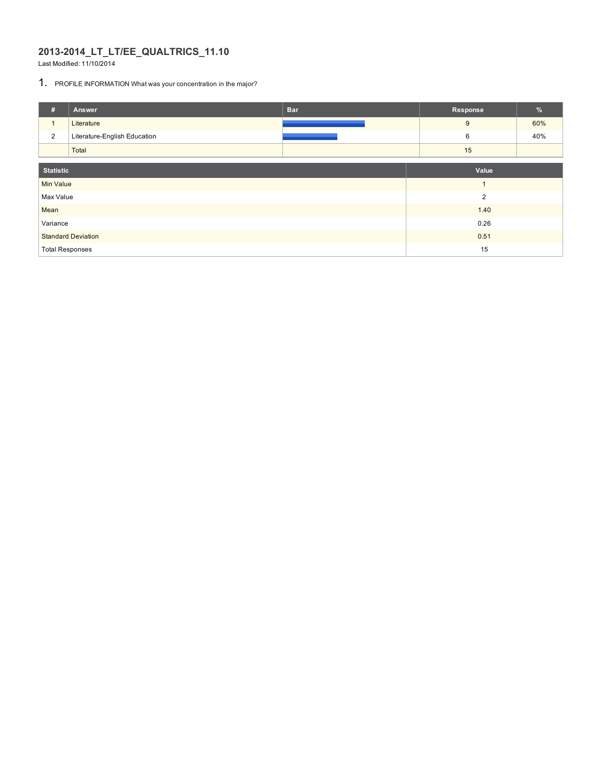#### **2013-2014\_LT\_LT/EE\_QUALTRICS\_11.10**

Last Modified: 11/10/2014

#### 1. PROFILE INFORMATION What was your concentration in the major?

| #                      | Answer                       | <b>Bar</b> | Response       | $\%$ |  |
|------------------------|------------------------------|------------|----------------|------|--|
| $\mathbf{1}$           | Literature                   |            | 9              | 60%  |  |
| 2                      | Literature-English Education |            | 6              | 40%  |  |
|                        | Total                        |            | 15             |      |  |
|                        |                              |            |                |      |  |
| <b>Statistic</b>       |                              |            | Value          |      |  |
| <b>Min Value</b>       |                              |            | $\overline{ }$ |      |  |
| Max Value              |                              |            | $\overline{2}$ |      |  |
| Mean                   |                              |            | 1.40           |      |  |
| Variance               |                              |            | 0.26           |      |  |
|                        | <b>Standard Deviation</b>    |            | 0.51           |      |  |
| <b>Total Responses</b> |                              | 15         |                |      |  |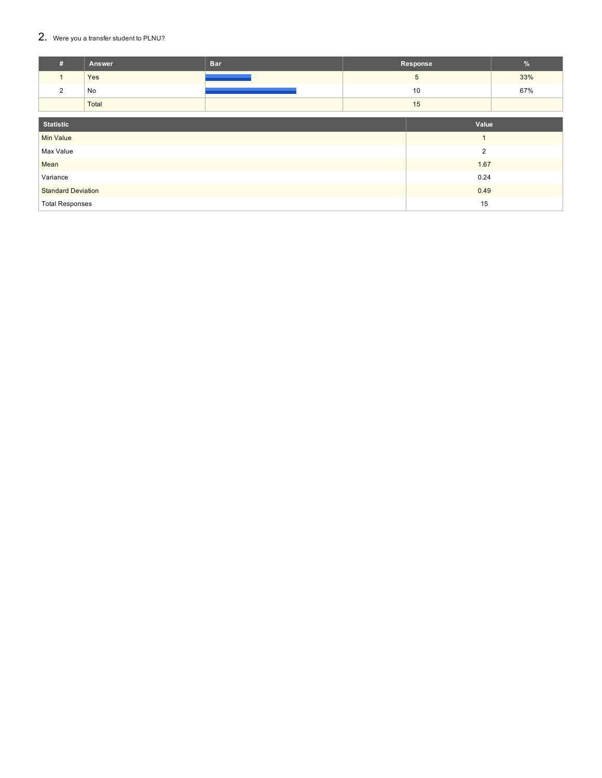#### $2.$  Were you a transfer student to PLNU?

| #                         | Answer | <b>Bar</b> |  | Response       | $\frac{9}{6}$ |
|---------------------------|--------|------------|--|----------------|---------------|
| $\mathbf{1}$              | Yes    |            |  | 5              | 33%           |
| $\overline{2}$            | No     |            |  | 10             | 67%           |
|                           | Total  |            |  | 15             |               |
|                           |        |            |  |                |               |
| <b>Statistic</b>          |        |            |  | Value          |               |
| <b>Min Value</b>          |        |            |  | $\mathbf{1}$   |               |
| Max Value                 |        |            |  | $\overline{2}$ |               |
| Mean                      |        |            |  | 1.67           |               |
| Variance                  |        | 0.24       |  |                |               |
| <b>Standard Deviation</b> |        | 0.49       |  |                |               |
| <b>Total Responses</b>    |        | 15         |  |                |               |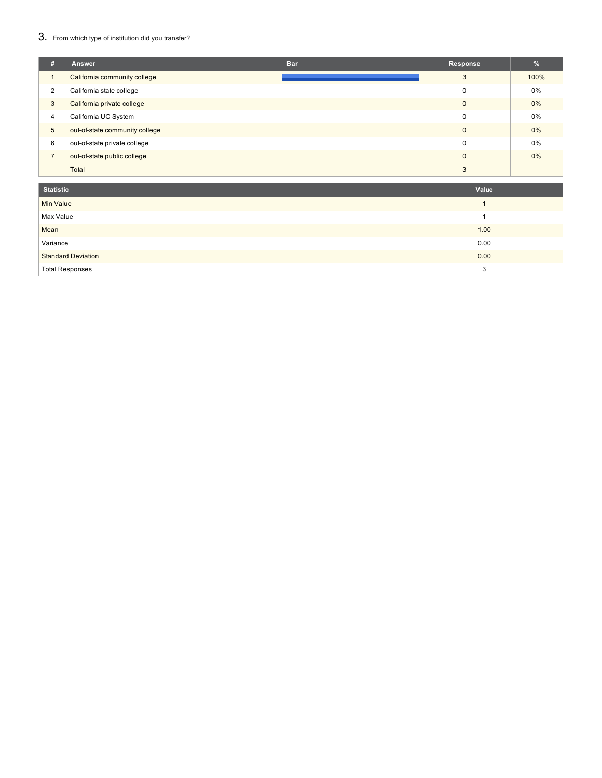### 3. From which type of institution did you transfer?

| Æ              | <b>Answer</b>                  | <b>Bar</b> | Response | $\%$  |
|----------------|--------------------------------|------------|----------|-------|
|                | California community college   |            | 3        | 100%  |
| $\overline{2}$ | California state college       |            | $\Omega$ | $0\%$ |
| 3              | California private college     |            | $\Omega$ | $0\%$ |
| 4              | California UC System           |            | $\Omega$ | 0%    |
| 5              | out-of-state community college |            | $\Omega$ | $0\%$ |
| 6              | out-of-state private college   |            | $\Omega$ | 0%    |
| $\overline{7}$ | out-of-state public college    |            | $\Omega$ | $0\%$ |
|                | Total                          |            | З        |       |

| <b>Statistic</b>          | Value |
|---------------------------|-------|
| <b>Min Value</b>          |       |
| Max Value                 |       |
| Mean                      | 1.00  |
| Variance                  | 0.00  |
| <b>Standard Deviation</b> | 0.00  |
| <b>Total Responses</b>    | 3     |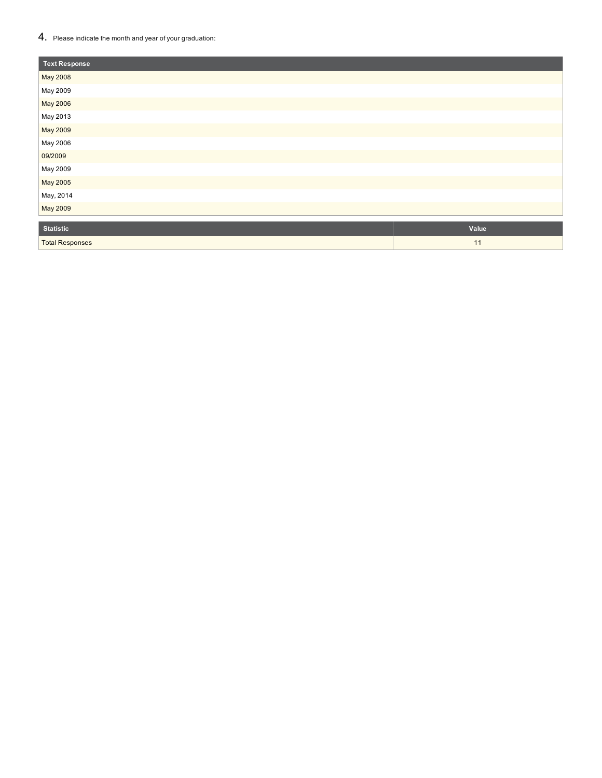#### $4.$  Please indicate the month and year of your graduation:

Total Responses

| <b>Text Response</b> |       |
|----------------------|-------|
| May 2008             |       |
| May 2009             |       |
| May 2006             |       |
| May 2013             |       |
| May 2009             |       |
| May 2006             |       |
| 09/2009              |       |
| May 2009             |       |
| May 2005             |       |
| May, 2014            |       |
| May 2009             |       |
| <b>Statistic</b>     | Value |

1 1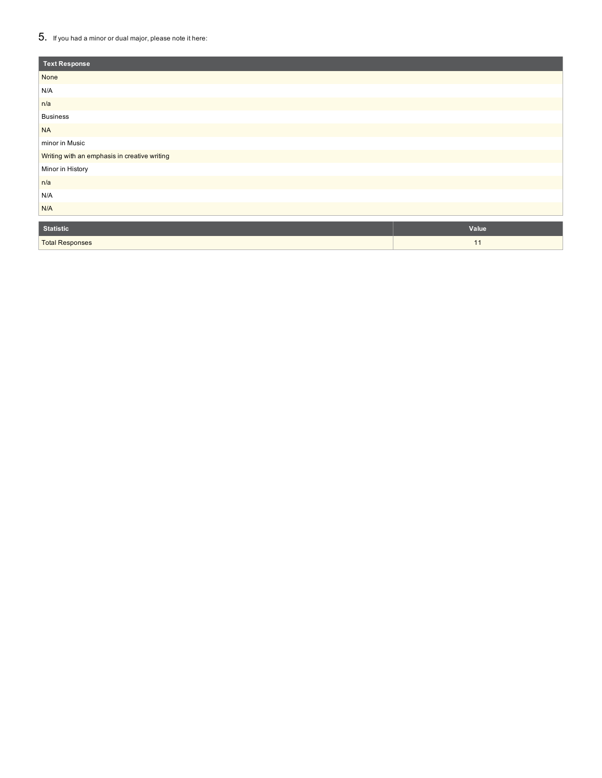#### $5_{\cdot}\;$  If you had a minor or dual major, please note it here:

Total Responses

| <b>Text Response</b>                         |       |
|----------------------------------------------|-------|
| None                                         |       |
| N/A                                          |       |
| n/a                                          |       |
| <b>Business</b>                              |       |
| <b>NA</b>                                    |       |
| minor in Music                               |       |
| Writing with an emphasis in creative writing |       |
| Minor in History                             |       |
| n/a                                          |       |
| N/A                                          |       |
| N/A                                          |       |
| <b>Statistic</b>                             | Value |

1 1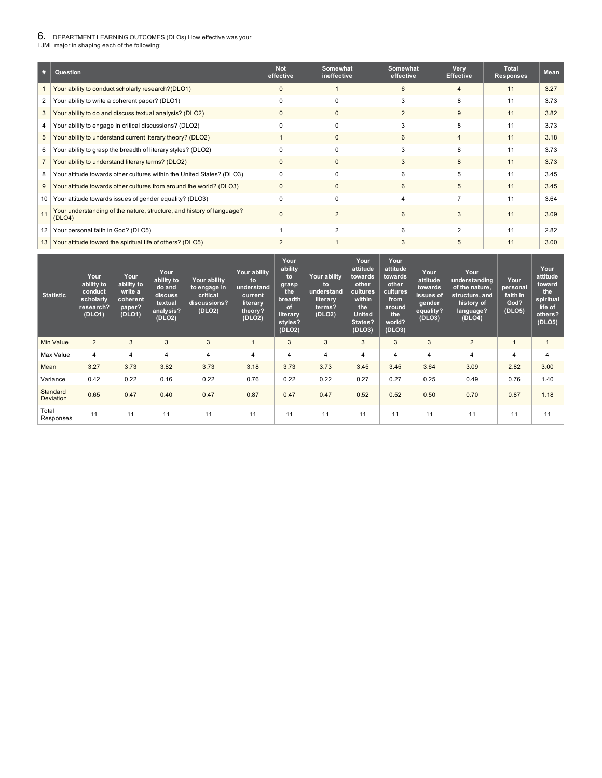## $6$ . DEPARTMENT LEARNING OUTCOMES (DLOs) How effective was your<br>LJML major in shaping each of the following:

| #              | Question                                                                        | <b>Not</b><br>effective | Somewhat<br>ineffective | Somewhat<br>effective | Very<br><b>Effective</b> | <b>Total</b><br><b>Responses</b> | <b>Mean</b> |
|----------------|---------------------------------------------------------------------------------|-------------------------|-------------------------|-----------------------|--------------------------|----------------------------------|-------------|
|                | Your ability to conduct scholarly research?(DLO1)                               | $\mathbf 0$             |                         | 6                     | 4                        | 11                               | 3.27        |
| 2              | Your ability to write a coherent paper? (DLO1)                                  | 0                       | $\Omega$                | 3                     | 8                        | 11                               | 3.73        |
| 3              | Your ability to do and discuss textual analysis? (DLO2)                         | $\mathbf{0}$            | $\mathbf{0}$            | $\overline{2}$        | 9                        | 11                               | 3.82        |
| 4              | Your ability to engage in critical discussions? (DLO2)                          | $\Omega$                | 0                       | 3                     | 8                        | 11                               | 3.73        |
| 5              | Your ability to understand current literary theory? (DLO2)                      |                         | $\mathbf{0}$            | 6                     | 4                        | 11                               | 3.18        |
| 6              | Your ability to grasp the breadth of literary styles? (DLO2)                    | 0                       | 0                       |                       | 8                        | 11                               | 3.73        |
| $\overline{7}$ | Your ability to understand literary terms? (DLO2)                               | $\mathbf{0}$            | $\mathbf{0}$            | 3                     | 8                        | 11                               | 3.73        |
| 8              | Your attitude towards other cultures within the United States? (DLO3)           | $\Omega$                | $\Omega$                | 6                     | 5                        | 11                               | 3.45        |
| 9              | Your attitude towards other cultures from around the world? (DLO3)              | $\mathbf{0}$            | $\mathbf{0}$            | 6                     | 5                        | 11                               | 3.45        |
| 10             | Your attitude towards issues of gender equality? (DLO3)                         | 0                       | $\Omega$                |                       |                          | 11                               | 3.64        |
| 11             | Your understanding of the nature, structure, and history of language?<br>(DLO4) | $\Omega$                | $\mathcal{P}$           | 6                     | 3                        | 11                               | 3.09        |
| 12             | Your personal faith in God? (DLO5)                                              |                         | っ                       | 6                     | 2                        | 11                               | 2.82        |
| 13             | Your attitude toward the spiritual life of others? (DLO5)                       | 2                       |                         | 3                     | 5                        | 11                               | 3.00        |

| <b>Statistic</b>      | Your<br>ability to<br>conduct<br>scholarly<br>research?<br>(DLO1) | Your<br>ability to<br>write a<br>coherent<br>paper?<br>(DLO1) | Your<br>ability to<br>do and<br>discuss<br>textual<br>analysis?<br>(DLO2) | Your ability<br>to engage in<br>critical<br>discussions?<br>(DLO2) | Your ability<br>to<br>understand<br>current<br>literary<br>theory?<br>(DLO2) | Your<br>ability<br>to<br>grasp<br>the<br>breadth<br>of<br>literary<br>styles?<br>(DLO2) | <b>Your ability</b><br>to<br>understand<br>literary<br>terms?<br>(DLO2) | Your<br>attitude<br>towards<br>other<br>cultures<br>within<br>the<br><b>United</b><br>States?<br>(DLO3) | Your<br>attitude<br>towards<br>other<br>cultures<br>from<br>around<br>the<br>world?<br>(DLO3) | Your<br>attitude<br>towards<br>issues of<br>gender <sup>'</sup><br>equality?<br>(DLO3) | Your<br>understanding<br>of the nature,<br>structure, and<br>history of<br>language?<br>(DLO4) | Your<br>personal<br>faith in<br>God?<br>(DLO5) | Your<br>attitude<br>toward<br>the<br>spiritual<br>life of<br>others?<br>(DLO5) |
|-----------------------|-------------------------------------------------------------------|---------------------------------------------------------------|---------------------------------------------------------------------------|--------------------------------------------------------------------|------------------------------------------------------------------------------|-----------------------------------------------------------------------------------------|-------------------------------------------------------------------------|---------------------------------------------------------------------------------------------------------|-----------------------------------------------------------------------------------------------|----------------------------------------------------------------------------------------|------------------------------------------------------------------------------------------------|------------------------------------------------|--------------------------------------------------------------------------------|
| <b>Min Value</b>      | $\overline{2}$                                                    | 3                                                             | 3                                                                         | 3                                                                  |                                                                              | 3                                                                                       | 3                                                                       | 3                                                                                                       | 3                                                                                             | 3                                                                                      | $\overline{2}$                                                                                 |                                                | $\overline{1}$                                                                 |
| Max Value             | 4                                                                 | $\overline{4}$                                                | 4                                                                         | 4                                                                  | $\overline{4}$                                                               | 4                                                                                       | 4                                                                       | 4                                                                                                       | 4                                                                                             | 4                                                                                      | 4                                                                                              | 4                                              | $\overline{4}$                                                                 |
| Mean                  | 3.27                                                              | 3.73                                                          | 3.82                                                                      | 3.73                                                               | 3.18                                                                         | 3.73                                                                                    | 3.73                                                                    | 3.45                                                                                                    | 3.45                                                                                          | 3.64                                                                                   | 3.09                                                                                           | 2.82                                           | 3.00                                                                           |
| Variance              | 0.42                                                              | 0.22                                                          | 0.16                                                                      | 0.22                                                               | 0.76                                                                         | 0.22                                                                                    | 0.22                                                                    | 0.27                                                                                                    | 0.27                                                                                          | 0.25                                                                                   | 0.49                                                                                           | 0.76                                           | 1.40                                                                           |
| Standard<br>Deviation | 0.65                                                              | 0.47                                                          | 0.40                                                                      | 0.47                                                               | 0.87                                                                         | 0.47                                                                                    | 0.47                                                                    | 0.52                                                                                                    | 0.52                                                                                          | 0.50                                                                                   | 0.70                                                                                           | 0.87                                           | 1.18                                                                           |
| Total<br>Responses    | 11                                                                | 11                                                            | 11                                                                        | 11                                                                 | 11                                                                           | 11                                                                                      | 11                                                                      | 11                                                                                                      | 11                                                                                            | 11                                                                                     | 11                                                                                             | 11                                             | 11                                                                             |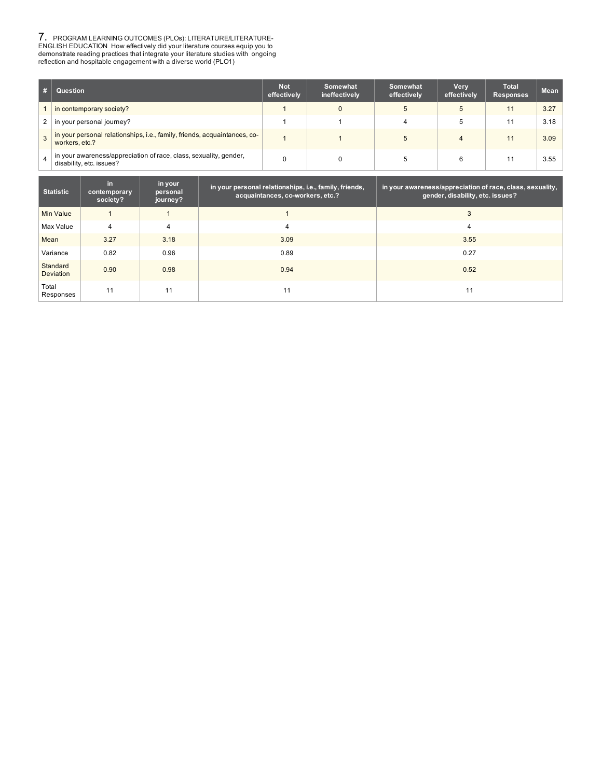7. PROGRAM LEARNING OUTCOMES (PLOs): LITERATURE/LITERATURE-<br>ENGLISH EDUCATION How effectively did your literature courses equip you to<br>demonstrate reading practices that integrate your literature studies with ongoing<br>refle

| #              | Question                                                                                      | <b>Not</b><br>effectively | Somewhat<br>ineffectively | Somewhat<br>effectively | Very<br>effectively | <b>Total</b><br><b>Responses</b> | <b>Mean</b> |
|----------------|-----------------------------------------------------------------------------------------------|---------------------------|---------------------------|-------------------------|---------------------|----------------------------------|-------------|
|                | in contemporary society?                                                                      |                           |                           | 5                       | 5                   | 11                               | 3.27        |
| 2 <sup>1</sup> | in your personal journey?                                                                     |                           |                           | 4                       |                     | 11                               | 3.18        |
| 3              | in your personal relationships, i.e., family, friends, acquaintances, co-<br>workers, etc.?   |                           |                           |                         | 4                   | 11                               | 3.09        |
| 4              | in your awareness/appreciation of race, class, sexuality, gender,<br>disability, etc. issues? |                           |                           | b                       | 6                   | 11                               | 3.55        |

| <b>Statistic</b>             | in.<br>contemporary<br>society? | in your<br>personal<br>journey? | in your personal relationships, i.e., family, friends,<br>acquaintances, co-workers, etc.? | in your awareness/appreciation of race, class, sexuality,<br>gender, disability, etc. issues? |
|------------------------------|---------------------------------|---------------------------------|--------------------------------------------------------------------------------------------|-----------------------------------------------------------------------------------------------|
| Min Value                    |                                 |                                 |                                                                                            | 3                                                                                             |
| Max Value                    | 4                               | 4                               | 4                                                                                          | 4                                                                                             |
| Mean                         | 3.27                            | 3.18                            | 3.09                                                                                       | 3.55                                                                                          |
| Variance                     | 0.82                            | 0.96                            | 0.89                                                                                       | 0.27                                                                                          |
| Standard<br><b>Deviation</b> | 0.90                            | 0.98                            | 0.94                                                                                       | 0.52                                                                                          |
| Total<br>Responses           | 11                              | 11                              | 11                                                                                         | 11                                                                                            |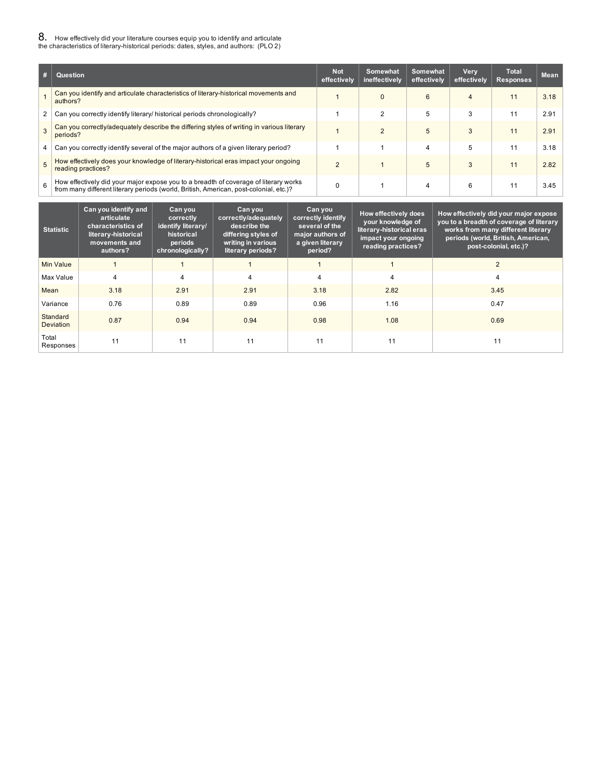# 8. How effectively did your literature courses equip you to identify and articulate the characteristics of literary-historical periods: dates, styles, and authors: (PLO 2)

| # | Question                                                                                                                                                                      | <b>Not</b><br>effectively | Somewhat<br>ineffectively | Somewhat<br>effectively | Very<br>effectively | <b>Total</b><br><b>Responses</b> | <b>Mean</b> |
|---|-------------------------------------------------------------------------------------------------------------------------------------------------------------------------------|---------------------------|---------------------------|-------------------------|---------------------|----------------------------------|-------------|
|   | Can you identify and articulate characteristics of literary-historical movements and<br>authors?                                                                              |                           | 0                         | 6                       | 4                   | 11                               | 3.18        |
| 2 | Can you correctly identify literary/ historical periods chronologically?                                                                                                      |                           | 2                         | 5                       | 3                   | 11                               | 2.91        |
| 3 | Can you correctly/adequately describe the differing styles of writing in various literary<br>periods?                                                                         |                           | $\mathfrak{p}$            | 5                       | 3                   | 11                               | 2.91        |
| 4 | Can you correctly identify several of the major authors of a given literary period?                                                                                           |                           |                           | 4                       | 5                   | 11                               | 3.18        |
|   | How effectively does your knowledge of literary-historical eras impact your ongoing<br>reading practices?                                                                     | $\mathcal{P}$             |                           | 5                       | 3                   | 11                               | 2.82        |
| 6 | How effectively did your major expose you to a breadth of coverage of literary works<br>from many different literary periods (world, British, American, post-colonial, etc.)? |                           |                           | 4                       | 6                   | 11                               | 3.45        |

| <b>Statistic</b>      | Can you identify and<br>articulate<br>characteristics of<br>literary-historical<br>movements and<br>authors? | Can you<br>correctly<br>identify literary/<br>historical<br>periods<br>chronologically? | Can you<br>correctly/adequately<br>describe the<br>differing styles of<br>writing in various<br>literary periods? | Can you<br>correctly identify<br>several of the<br>major authors of<br>a given literary<br>period? | How effectively does<br>your knowledge of<br>literary-historical eras<br>impact your ongoing<br>reading practices? | How effectively did your major expose<br>you to a breadth of coverage of literary<br>works from many different literary<br>periods (world, British, American,<br>post-colonial, etc.)? |
|-----------------------|--------------------------------------------------------------------------------------------------------------|-----------------------------------------------------------------------------------------|-------------------------------------------------------------------------------------------------------------------|----------------------------------------------------------------------------------------------------|--------------------------------------------------------------------------------------------------------------------|----------------------------------------------------------------------------------------------------------------------------------------------------------------------------------------|
| <b>Min Value</b>      |                                                                                                              |                                                                                         |                                                                                                                   |                                                                                                    |                                                                                                                    | $\overline{2}$                                                                                                                                                                         |
| Max Value             | 4                                                                                                            | 4                                                                                       | 4                                                                                                                 | 4                                                                                                  | $\overline{4}$                                                                                                     | 4                                                                                                                                                                                      |
| Mean                  | 3.18                                                                                                         | 2.91                                                                                    | 2.91                                                                                                              | 3.18                                                                                               | 2.82                                                                                                               | 3.45                                                                                                                                                                                   |
| Variance              | 0.76                                                                                                         | 0.89                                                                                    | 0.89                                                                                                              | 0.96                                                                                               | 1.16                                                                                                               | 0.47                                                                                                                                                                                   |
| Standard<br>Deviation | 0.87                                                                                                         | 0.94                                                                                    | 0.94                                                                                                              | 0.98                                                                                               | 1.08                                                                                                               | 0.69                                                                                                                                                                                   |
| Total<br>Responses    | 11                                                                                                           | 11                                                                                      | 11                                                                                                                | 11                                                                                                 | 11                                                                                                                 | 11                                                                                                                                                                                     |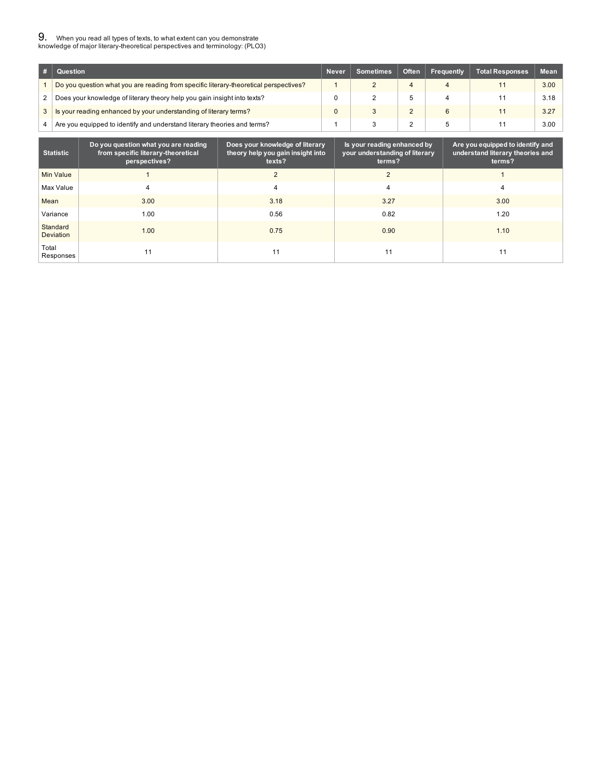# 9. When you read all types of texts, to what extent can you demonstrate knowledge of major literary-theoretical perspectives and terminology: (PLO3)

| # | Question                                                                              | <b>Never</b> | Sometimes | <b>Often</b> | Frequently | Total Responses | <b>Mean</b> |
|---|---------------------------------------------------------------------------------------|--------------|-----------|--------------|------------|-----------------|-------------|
|   | Do you question what you are reading from specific literary-theoretical perspectives? |              |           |              |            |                 | 3.00        |
|   | Does your knowledge of literary theory help you gain insight into texts?              |              |           |              |            |                 | 3.18        |
|   | Is your reading enhanced by your understanding of literary terms?                     | $\Omega$     |           |              |            | 11              | 3.27        |
|   | Are you equipped to identify and understand literary theories and terms?              |              |           |              |            | 11              | 3.00        |

| <b>Statistic</b>      | Do you question what you are reading<br>from specific literary-theoretical<br>perspectives? | Does your knowledge of literary<br>theory help you gain insight into<br>texts? | Is your reading enhanced by<br>your understanding of literary<br>terms? | Are you equipped to identify and<br>understand literary theories and<br>terms? |
|-----------------------|---------------------------------------------------------------------------------------------|--------------------------------------------------------------------------------|-------------------------------------------------------------------------|--------------------------------------------------------------------------------|
| Min Value             |                                                                                             |                                                                                | $\overline{2}$                                                          |                                                                                |
| Max Value             | 4                                                                                           |                                                                                |                                                                         | 4                                                                              |
| Mean                  | 3.00                                                                                        | 3.18                                                                           | 3.27                                                                    | 3.00                                                                           |
| Variance              | 1.00                                                                                        | 0.56                                                                           | 0.82                                                                    | 1.20                                                                           |
| Standard<br>Deviation | 1.00                                                                                        | 0.75                                                                           | 0.90                                                                    | 1.10                                                                           |
| Total<br>Responses    |                                                                                             | 11                                                                             | 11                                                                      | 11                                                                             |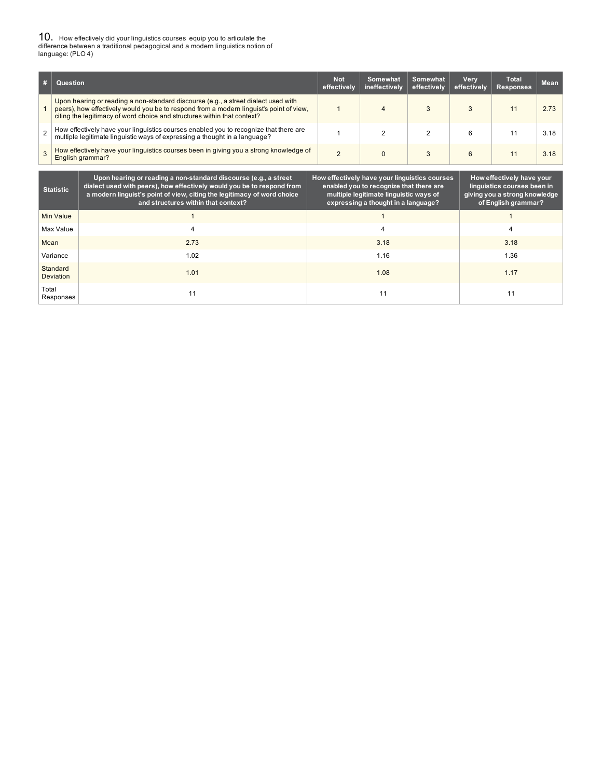10. How effectively did your linguistics courses equip you to articulate the difference between a traditional pedagogical and a modern linguistics notion of language: (PLO 4)

| # | Question                                                                                                                                                                                                                                                  |                                                                                                                                                                                                                                                              | <b>Not</b><br>effectively                     | Somewhat<br>ineffectively                                                                                                | <b>Somewhat</b><br>effectively | <b>Very</b><br>effectively | <b>Total</b><br><b>Responses</b>                                                                                 | <b>Mean</b> |  |
|---|-----------------------------------------------------------------------------------------------------------------------------------------------------------------------------------------------------------------------------------------------------------|--------------------------------------------------------------------------------------------------------------------------------------------------------------------------------------------------------------------------------------------------------------|-----------------------------------------------|--------------------------------------------------------------------------------------------------------------------------|--------------------------------|----------------------------|------------------------------------------------------------------------------------------------------------------|-------------|--|
|   | Upon hearing or reading a non-standard discourse (e.g., a street dialect used with<br>peers), how effectively would you be to respond from a modern linguist's point of view,<br>citing the legitimacy of word choice and structures within that context? |                                                                                                                                                                                                                                                              |                                               | 4                                                                                                                        | 3                              | 3                          | 11                                                                                                               | 2.73        |  |
|   | How effectively have your linguistics courses enabled you to recognize that there are<br>multiple legitimate linguistic ways of expressing a thought in a language?                                                                                       |                                                                                                                                                                                                                                                              |                                               | $\overline{2}$                                                                                                           | $\overline{2}$                 | 6                          | 11                                                                                                               | 3.18        |  |
|   |                                                                                                                                                                                                                                                           | How effectively have your linguistics courses been in giving you a strong knowledge of<br>English grammar?                                                                                                                                                   | $\overline{2}$                                | $\Omega$                                                                                                                 | 3                              | 6                          | 11                                                                                                               | 3.18        |  |
|   | <b>Statistic</b>                                                                                                                                                                                                                                          | Upon hearing or reading a non-standard discourse (e.g., a street<br>dialect used with peers), how effectively would you be to respond from<br>a modern linguist's point of view, citing the legitimacy of word choice<br>and structures within that context? | How effectively have your linguistics courses | enabled you to recognize that there are<br>multiple legitimate linguistic ways of<br>expressing a thought in a language? |                                |                            | How effectively have your<br>linguistics courses been in<br>giving you a strong knowledge<br>of English grammar? |             |  |
|   | <b>Min Value</b>                                                                                                                                                                                                                                          |                                                                                                                                                                                                                                                              |                                               |                                                                                                                          |                                |                            |                                                                                                                  |             |  |
|   | Max Value                                                                                                                                                                                                                                                 |                                                                                                                                                                                                                                                              |                                               |                                                                                                                          |                                |                            |                                                                                                                  |             |  |
|   | 2.73<br>Mean                                                                                                                                                                                                                                              |                                                                                                                                                                                                                                                              |                                               | 3.18                                                                                                                     |                                |                            | 3.18                                                                                                             |             |  |
|   | 1.02<br>Variance                                                                                                                                                                                                                                          |                                                                                                                                                                                                                                                              |                                               | 1.16                                                                                                                     |                                |                            | 1.36                                                                                                             |             |  |

**1.01** 1.08 **1.17** 

11 11 11

Total Responses

Standard Deviation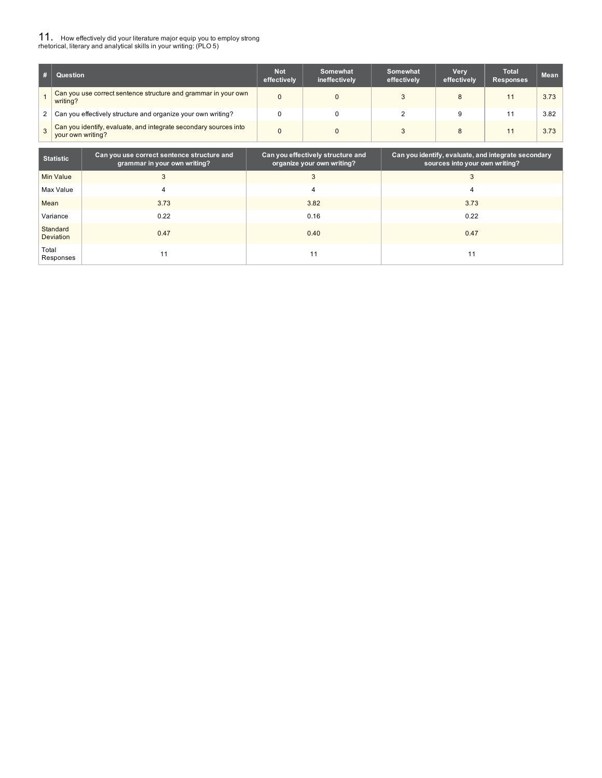# 11. How effectively did your literature major equip you to employ strong rhetorical, literary and analytical skills in your writing: (PLO 5)

|   | Question                                                                              | <b>Not</b><br>effectively | Somewhat<br>ineffectively | Somewhat<br>effectively | <b>Very</b><br>effectively | Total<br><b>Responses</b> | <b>Mean</b> |
|---|---------------------------------------------------------------------------------------|---------------------------|---------------------------|-------------------------|----------------------------|---------------------------|-------------|
|   | Can you use correct sentence structure and grammar in your own<br>writing?            | 0                         | 0                         |                         | 8                          | 11                        | 3.73        |
| 2 | Can you effectively structure and organize your own writing?                          |                           |                           |                         |                            |                           | 3.82        |
|   | Can you identify, evaluate, and integrate secondary sources into<br>your own writing? | 0                         |                           |                         | 8                          |                           | 3.73        |

| <b>Statistic</b>      | Can you use correct sentence structure and<br>grammar in your own writing? | Can you effectively structure and<br>organize your own writing? | Can you identify, evaluate, and integrate secondary<br>sources into your own writing? |
|-----------------------|----------------------------------------------------------------------------|-----------------------------------------------------------------|---------------------------------------------------------------------------------------|
| Min Value             |                                                                            |                                                                 | 3                                                                                     |
| Max Value             |                                                                            |                                                                 |                                                                                       |
| Mean                  | 3.73                                                                       | 3.82                                                            | 3.73                                                                                  |
| Variance              | 0.22                                                                       | 0.16                                                            | 0.22                                                                                  |
| Standard<br>Deviation | 0.47                                                                       | 0.40                                                            | 0.47                                                                                  |
| Total<br>Responses    |                                                                            | . .                                                             |                                                                                       |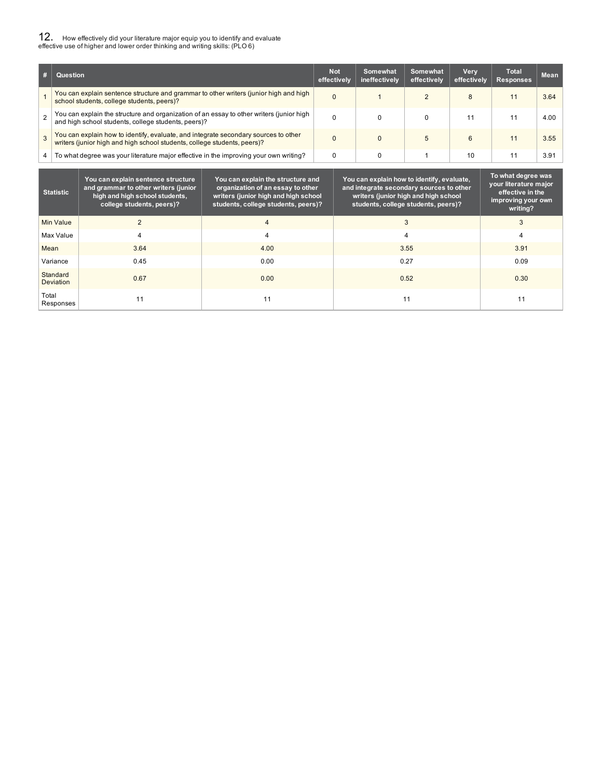# 12. How effectively did your literature major equip you to identify and evaluate effective use of higher and lower order thinking and writing skills: (PLO 6)

|                | <b>Question</b>                                                                                                                                                 | <b>Not</b><br>effectively | Somewhat<br>ineffectively | Somewhat<br>effectively | Verv<br>effectively | Total<br><b>Responses</b> | Mean |
|----------------|-----------------------------------------------------------------------------------------------------------------------------------------------------------------|---------------------------|---------------------------|-------------------------|---------------------|---------------------------|------|
|                | You can explain sentence structure and grammar to other writers (junior high and high<br>school students, college students, peers)?                             | $\Omega$                  |                           |                         | 8                   |                           | 3.64 |
| $\mathfrak{p}$ | You can explain the structure and organization of an essay to other writers (junior high<br>and high school students, college students, peers)?                 |                           |                           |                         |                     |                           | 4.00 |
|                | You can explain how to identify, evaluate, and integrate secondary sources to other<br>writers (junior high and high school students, college students, peers)? |                           |                           |                         | 6                   |                           | 3.55 |
| $\overline{4}$ | To what degree was your literature major effective in the improving your own writing?                                                                           |                           |                           |                         | 10                  |                           | 3.91 |

| <b>Statistic</b>             | You can explain sentence structure<br>and grammar to other writers (junior<br>high and high school students,<br>college students, peers)? | You can explain the structure and<br>organization of an essay to other<br>writers (junior high and high school<br>students, college students, peers)? | You can explain how to identify, evaluate,<br>and integrate secondary sources to other<br>writers (junior high and high school<br>students, college students, peers)? | To what degree was<br>your literature major<br>effective in the<br>improving your own<br>writing? |
|------------------------------|-------------------------------------------------------------------------------------------------------------------------------------------|-------------------------------------------------------------------------------------------------------------------------------------------------------|-----------------------------------------------------------------------------------------------------------------------------------------------------------------------|---------------------------------------------------------------------------------------------------|
| <b>Min Value</b>             | $\overline{c}$                                                                                                                            | $\overline{4}$                                                                                                                                        | 3                                                                                                                                                                     | 3                                                                                                 |
| Max Value                    | 4                                                                                                                                         | 4                                                                                                                                                     | 4                                                                                                                                                                     | 4                                                                                                 |
| Mean                         | 3.64                                                                                                                                      | 4.00                                                                                                                                                  | 3.55                                                                                                                                                                  | 3.91                                                                                              |
| Variance                     | 0.45                                                                                                                                      | 0.00                                                                                                                                                  | 0.27                                                                                                                                                                  | 0.09                                                                                              |
| Standard<br><b>Deviation</b> | 0.67                                                                                                                                      | 0.00                                                                                                                                                  | 0.52                                                                                                                                                                  | 0.30                                                                                              |
| Total<br>Responses           | 11                                                                                                                                        | 11                                                                                                                                                    | 11                                                                                                                                                                    | 11                                                                                                |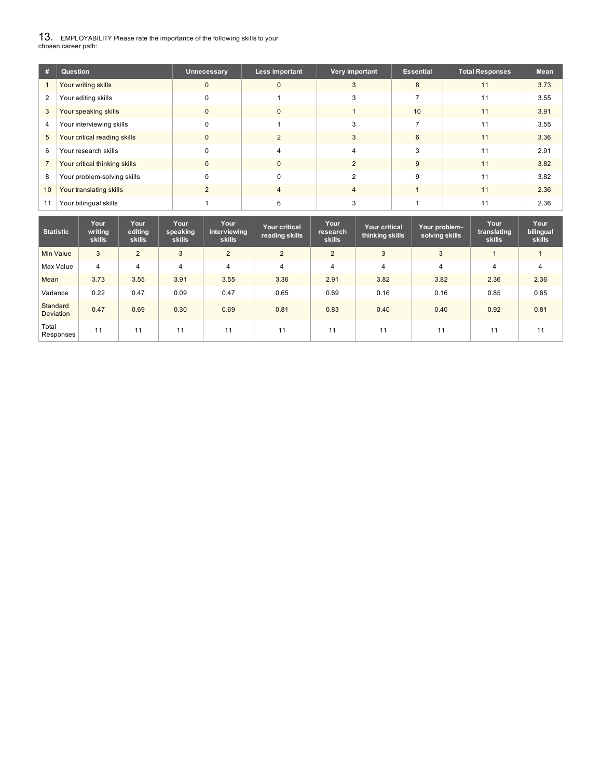13. EMPLOYABILITY Please rate the importance of the following skills to your chosen career path:

| #  | Question                      | Unnecessary  | Less important | Very important | <b>Essential</b> | <b>Total Responses</b> | <b>Mean</b> |
|----|-------------------------------|--------------|----------------|----------------|------------------|------------------------|-------------|
|    | Your writing skills           | $\mathbf{0}$ | $\mathbf{0}$   | 3              | 8                | 11                     | 3.73        |
| 2  | Your editing skills           |              |                |                |                  | 11                     | 3.55        |
| 3  | Your speaking skills          | 0            | 0              |                | 10               | 11                     | 3.91        |
| 4  | Your interviewing skills      | $\Omega$     |                | $\sim$         |                  | 11                     | 3.55        |
| 5  | Your critical reading skills  | $\Omega$     |                |                | 6                | 11                     | 3.36        |
| 6  | Your research skills          | 0            |                |                |                  | 11                     | 2.91        |
|    | Your critical thinking skills | $\Omega$     | $\mathbf{0}$   | 2              | 9                | 11                     | 3.82        |
| 8  | Your problem-solving skills   | 0            | 0              |                | g                | 11                     | 3.82        |
| 10 | Your translating skills       |              | 4              | 4              |                  | 11                     | 2.36        |
|    | Your bilingual skills         |              |                |                |                  | 11                     | 2.36        |

| <b>Statistic</b>             | Your<br>writing<br>skills | Your<br>editing<br>skills | Your<br>speaking<br><b>skills</b> | Your<br>interviewing<br>skills | Your critical<br>reading skills | Your<br>research<br><b>skills</b> | Your critical<br>thinking skills | Your problem-<br>solving skills | Your<br>translating<br>skills | Your<br>bilingual<br>skills |
|------------------------------|---------------------------|---------------------------|-----------------------------------|--------------------------------|---------------------------------|-----------------------------------|----------------------------------|---------------------------------|-------------------------------|-----------------------------|
| Min Value                    | 3                         | 2                         | 3                                 | $\overline{2}$                 | 2                               | $\overline{2}$                    | 3                                | 3                               |                               |                             |
| Max Value                    | $\overline{4}$            | $\overline{4}$            | 4                                 | 4                              | $\overline{4}$                  | 4                                 | $\overline{4}$                   | $\overline{4}$                  | 4                             | $\overline{4}$              |
| Mean                         | 3.73                      | 3.55                      | 3.91                              | 3.55                           | 3.36                            | 2.91                              | 3.82                             | 3.82                            | 2.36                          | 2.36                        |
| Variance                     | 0.22                      | 0.47                      | 0.09                              | 0.47                           | 0.65                            | 0.69                              | 0.16                             | 0.16                            | 0.85                          | 0.65                        |
| Standard<br><b>Deviation</b> | 0.47                      | 0.69                      | 0.30                              | 0.69                           | 0.81                            | 0.83                              | 0.40                             | 0.40                            | 0.92                          | 0.81                        |
| Total<br>Responses           | 11                        | 11                        | 11                                | 11                             | 11                              | 11                                | 11                               | 11                              | 11                            | 11                          |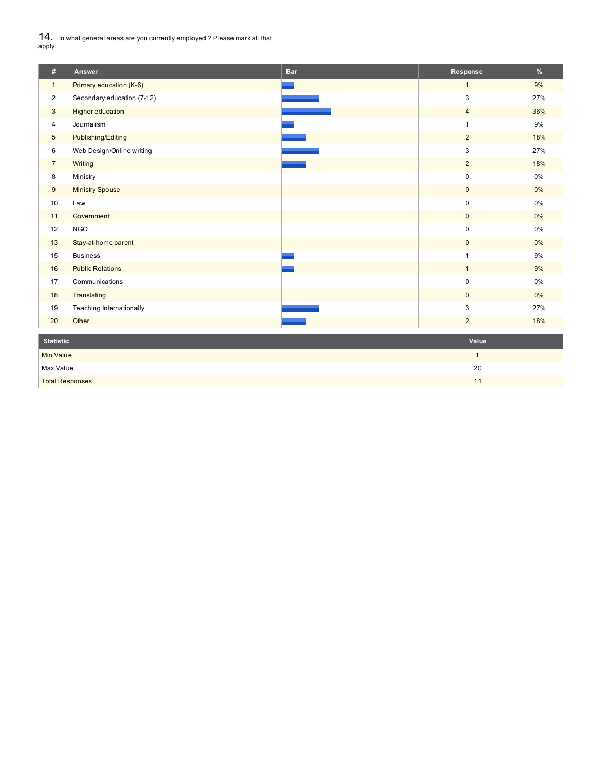14. In what general areas are you currently employed ? Please mark all that apply.

L

| #                      | Answer                     | <b>Bar</b> | Response       | $\%$  |  |
|------------------------|----------------------------|------------|----------------|-------|--|
| $\mathbf{1}$           | Primary education (K-6)    |            | $\mathbf{1}$   | 9%    |  |
| $\overline{a}$         | Secondary education (7-12) |            | 3              | 27%   |  |
| 3                      | Higher education           |            | $\overline{4}$ | 36%   |  |
| 4                      | Journalism                 |            | 1              | 9%    |  |
| $5\phantom{.0}$        | Publishing/Editing         |            | $\overline{2}$ | 18%   |  |
| 6                      | Web Design/Online writing  |            | 3              | 27%   |  |
| $\overline{7}$         | Writing                    |            | $\overline{2}$ | 18%   |  |
| 8                      | Ministry                   |            | $\mathbf 0$    | $0\%$ |  |
| 9                      | <b>Ministry Spouse</b>     |            | $\mathbf{0}$   | 0%    |  |
| 10                     | Law                        |            | $\mathbf 0$    | $0\%$ |  |
| 11                     | Government                 |            | $\mathbf{0}$   | 0%    |  |
| 12                     | <b>NGO</b>                 |            | $\mathbf 0$    | 0%    |  |
| 13                     | Stay-at-home parent        |            | $\mathbf{0}$   | 0%    |  |
| 15                     | <b>Business</b>            |            | 1              | $9\%$ |  |
| 16                     | <b>Public Relations</b>    |            | $\mathbf{1}$   | 9%    |  |
| 17                     | Communications             |            | $\pmb{0}$      | $0\%$ |  |
| 18                     | Translating                |            | $\mathbf{0}$   | $0\%$ |  |
| 19                     | Teaching Internationally   |            | 3              | 27%   |  |
| 20                     | Other                      |            | $\overline{2}$ | 18%   |  |
| <b>Statistic</b>       |                            |            | Value          |       |  |
| <b>Min Value</b>       |                            |            | $\mathbf{1}$   |       |  |
| Max Value              |                            |            | 20             |       |  |
| <b>Total Responses</b> |                            |            | 11             |       |  |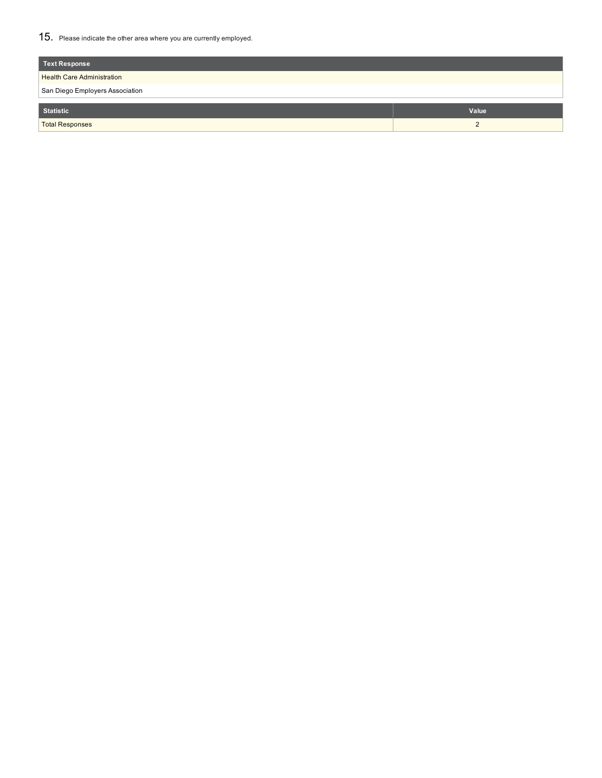15. Please indicate the other area where you are currently employed.

| <b>Text Response</b>              |            |  |  |  |  |
|-----------------------------------|------------|--|--|--|--|
| <b>Health Care Administration</b> |            |  |  |  |  |
| San Diego Employers Association   |            |  |  |  |  |
| <b>Statistic</b>                  | Value      |  |  |  |  |
| <b>Total Responses</b>            | $\epsilon$ |  |  |  |  |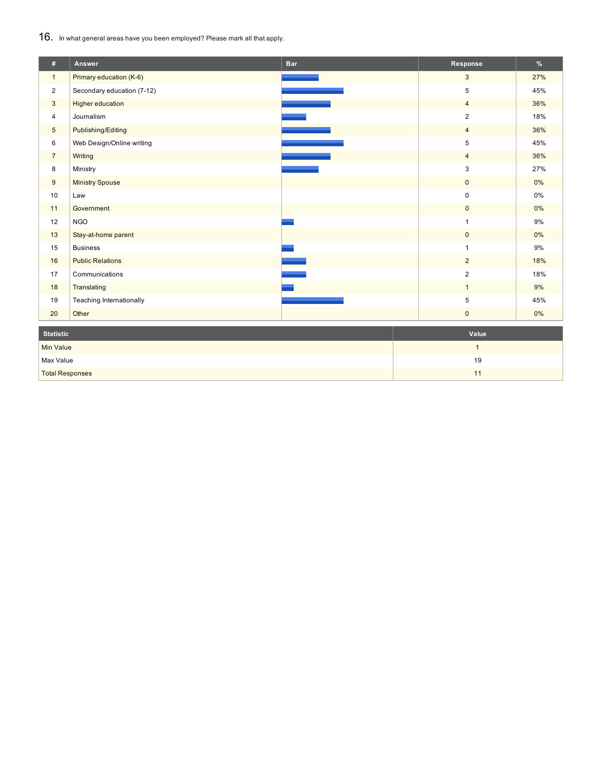16. In what general areas have you been employed? Please mark all that apply.

| #                      | <b>Answer</b>              | <b>Bar</b> | Response            | %     |  |
|------------------------|----------------------------|------------|---------------------|-------|--|
| $\mathbf{1}$           | Primary education (K-6)    |            | $\mathbf{3}$        | 27%   |  |
| $\overline{2}$         | Secondary education (7-12) |            | 5                   | 45%   |  |
| 3                      | Higher education           |            | $\overline{4}$      | 36%   |  |
| $\overline{4}$         | Journalism                 |            | $\overline{2}$      | 18%   |  |
| $\overline{5}$         | Publishing/Editing         |            | $\overline{4}$      | 36%   |  |
| 6                      | Web Design/Online writing  |            | 5                   | 45%   |  |
| $\overline{7}$         | Writing                    |            | $\overline{4}$      | 36%   |  |
| 8                      | Ministry                   |            | 3                   | 27%   |  |
| $\boldsymbol{9}$       | <b>Ministry Spouse</b>     |            | $\mathbf 0$         | 0%    |  |
| 10                     | Law                        |            | $\pmb{0}$           | 0%    |  |
| 11                     | Government                 |            | $\mathsf{O}\xspace$ | 0%    |  |
| 12                     | <b>NGO</b>                 |            |                     | $9\%$ |  |
| 13                     | Stay-at-home parent        |            | $\mathbf 0$         | 0%    |  |
| 15                     | <b>Business</b>            |            |                     | 9%    |  |
| 16                     | <b>Public Relations</b>    |            | $\overline{2}$      | 18%   |  |
| 17                     | Communications             |            | $\overline{c}$      | 18%   |  |
| 18                     | Translating                |            | $\mathbf{1}$        | 9%    |  |
| 19                     | Teaching Internationally   |            | 5                   | 45%   |  |
| 20                     | Other                      |            | $\mathsf{O}\xspace$ | 0%    |  |
| <b>Statistic</b>       |                            |            | Value               |       |  |
| <b>Min Value</b>       |                            |            | $\mathbf{1}$        |       |  |
| Max Value              |                            |            | 19                  |       |  |
| <b>Total Responses</b> |                            |            | 11                  |       |  |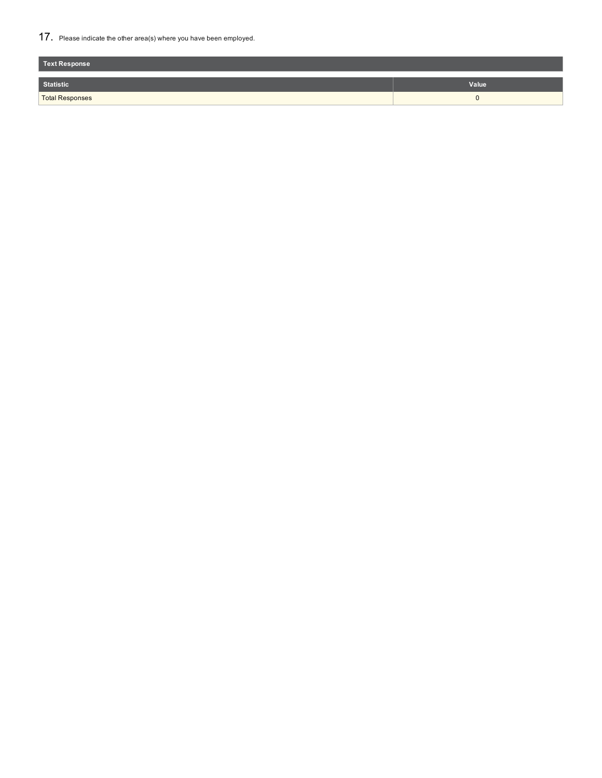17. Please indicate the other area(s) where you have been employed.

| Text Response          |       |
|------------------------|-------|
| Statistic              | Value |
| <b>Total Responses</b> |       |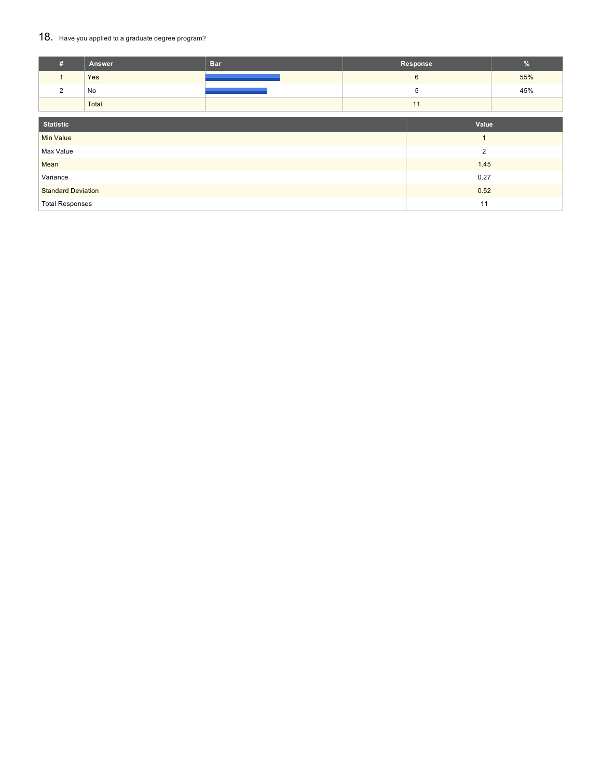### 18. Have you applied to a graduate degree program?

| #                         | Answer | <b>Bar</b> |    | Response       | $\%$ |
|---------------------------|--------|------------|----|----------------|------|
| $\mathbf{1}$              | Yes    |            |    | 6              | 55%  |
| $\overline{2}$            | No     |            |    | 5              | 45%  |
|                           | Total  |            | 11 |                |      |
| <b>Statistic</b>          |        |            |    | Value          |      |
| <b>Min Value</b>          |        |            |    | $\overline{1}$ |      |
| Max Value                 |        |            |    | $\overline{2}$ |      |
| Mean                      |        |            |    | 1.45           |      |
| Variance                  |        |            |    | 0.27           |      |
| <b>Standard Deviation</b> |        |            |    | 0.52           |      |
| <b>Total Responses</b>    |        |            |    | 11             |      |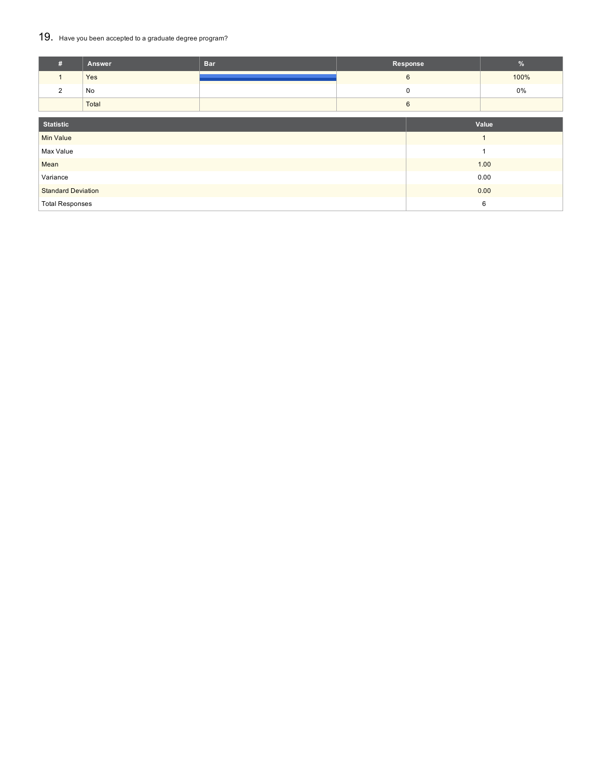### 19. Have you been accepted to a graduate degree program?

| #                                 | Answer | <b>Bar</b> | Response |  |       |
|-----------------------------------|--------|------------|----------|--|-------|
|                                   | Yes    |            | 6        |  |       |
| 2                                 | No     |            | 0        |  | 0%    |
|                                   | Total  |            | 6        |  |       |
| <b>Statistic</b>                  |        |            |          |  | Value |
| <b>Min Value</b>                  |        |            |          |  | и     |
| Max Value                         |        |            |          |  | 1     |
| Mean                              |        |            |          |  | 1.00  |
| Variance                          |        |            |          |  | 0.00  |
| 0.00<br><b>Standard Deviation</b> |        |            |          |  |       |
| <b>Total Responses</b>            |        |            |          |  | 6     |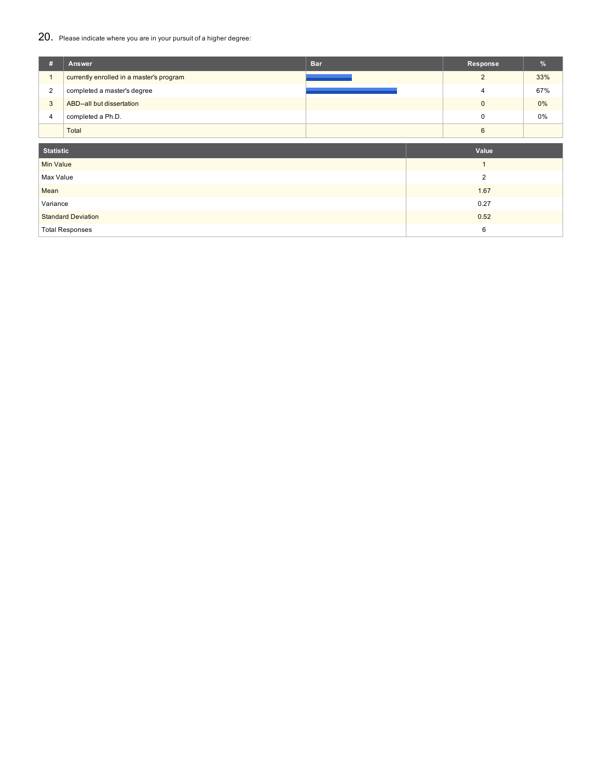## 20. Please indicate where you are in your pursuit of a higher degree:

| #                | <b>Answer</b>                            | <b>Bar</b> | Response       | %     |  |  |
|------------------|------------------------------------------|------------|----------------|-------|--|--|
| $\mathbf{1}$     | currently enrolled in a master's program |            | $\overline{2}$ | 33%   |  |  |
| $\overline{2}$   | completed a master's degree              |            | $\overline{4}$ | 67%   |  |  |
| $\mathbf{3}$     | ABD--all but dissertation                |            | $\mathbf 0$    | $0\%$ |  |  |
| $\overline{4}$   | completed a Ph.D.                        |            | 0              | 0%    |  |  |
|                  | Total                                    |            | 6              |       |  |  |
|                  |                                          |            |                |       |  |  |
| <b>Statistic</b> |                                          |            | Value          |       |  |  |
| Min Value        |                                          |            | $\mathbf{1}$   |       |  |  |
| Max Value        |                                          |            | $\overline{2}$ |       |  |  |
| Mean             |                                          |            | 1.67           |       |  |  |
| Variance         |                                          |            | 0.27           |       |  |  |
|                  | <b>Standard Deviation</b>                |            | 0.52           |       |  |  |
|                  | <b>Total Responses</b>                   |            | 6              |       |  |  |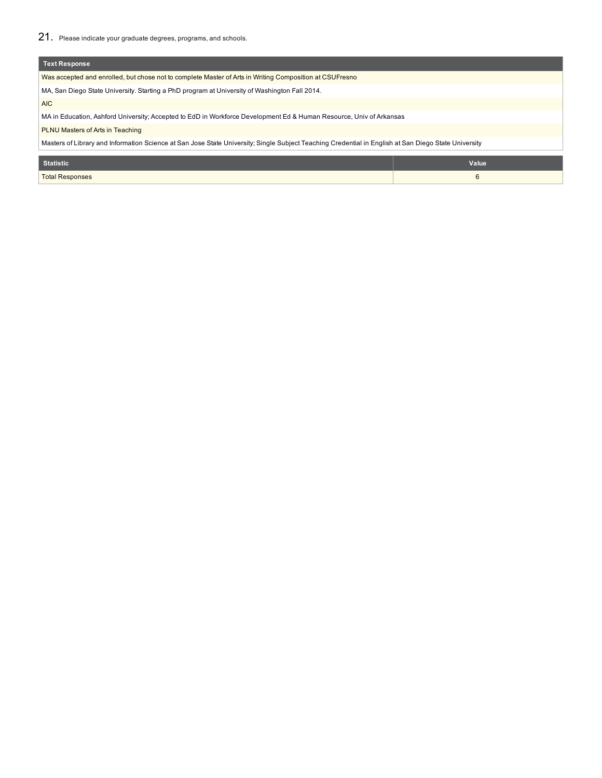| <b>Text Response</b>                                                                                                                                 |       |  |  |  |
|------------------------------------------------------------------------------------------------------------------------------------------------------|-------|--|--|--|
| Was accepted and enrolled, but chose not to complete Master of Arts in Writing Composition at CSUFresno                                              |       |  |  |  |
| MA, San Diego State University. Starting a PhD program at University of Washington Fall 2014.                                                        |       |  |  |  |
| AIC                                                                                                                                                  |       |  |  |  |
| MA in Education, Ashford University; Accepted to EdD in Workforce Development Ed & Human Resource, Univ of Arkansas                                  |       |  |  |  |
| <b>PLNU Masters of Arts in Teaching</b>                                                                                                              |       |  |  |  |
| Masters of Library and Information Science at San Jose State University; Single Subject Teaching Credential in English at San Diego State University |       |  |  |  |
|                                                                                                                                                      |       |  |  |  |
| <b>Statistic</b>                                                                                                                                     | Value |  |  |  |
| <b>Total Responses</b>                                                                                                                               | 6     |  |  |  |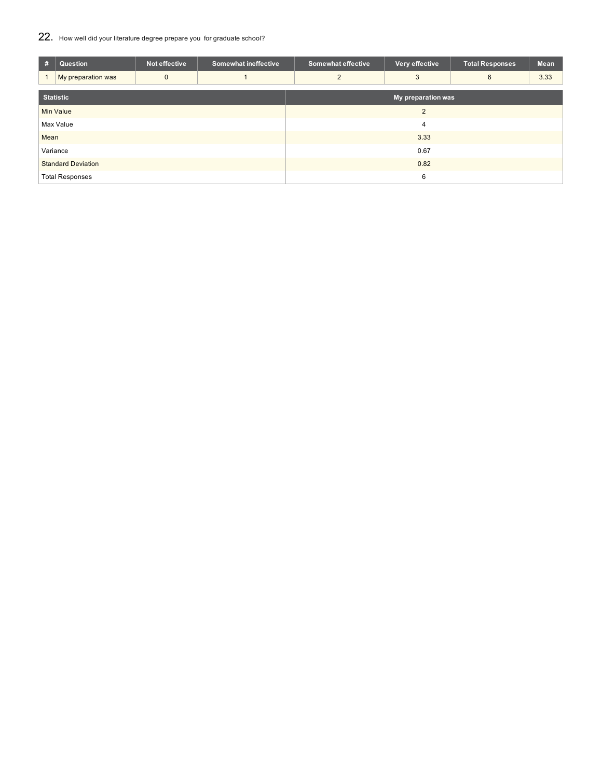### 22. How well did your literature degree prepare you for graduate school?

| #                         | Question               | Not effective | <b>Somewhat ineffective</b> | <b>Somewhat effective</b> | Very effective | <b>Total Responses</b> | Mean |  |
|---------------------------|------------------------|---------------|-----------------------------|---------------------------|----------------|------------------------|------|--|
|                           | My preparation was     | $\mathbf{0}$  |                             | 2                         | 3              | 6                      | 3.33 |  |
|                           | <b>Statistic</b>       |               |                             | My preparation was        |                |                        |      |  |
|                           | <b>Min Value</b>       |               |                             | 2                         |                |                        |      |  |
|                           | Max Value              |               |                             | 4                         |                |                        |      |  |
| Mean                      |                        |               |                             | 3.33                      |                |                        |      |  |
|                           | Variance               |               |                             |                           | 0.67           |                        |      |  |
| <b>Standard Deviation</b> |                        |               | 0.82                        |                           |                |                        |      |  |
|                           | <b>Total Responses</b> |               |                             |                           | 6              |                        |      |  |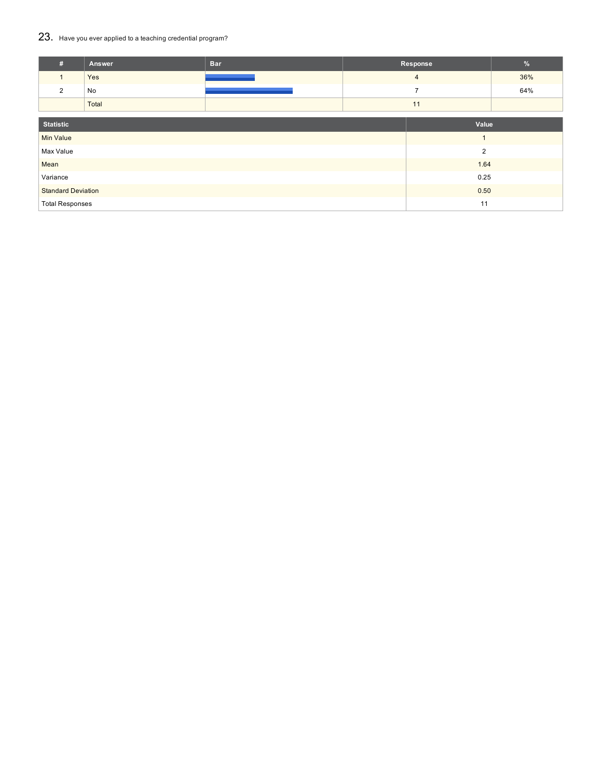### 23. Have you ever applied to a teaching credential program?

| #                         | Answer | <b>Bar</b> |    | Response       | $\frac{9}{6}$ |
|---------------------------|--------|------------|----|----------------|---------------|
| $\mathbf{1}$              | Yes    |            |    | $\overline{4}$ | 36%           |
| 2                         | No     |            |    | $\overline{ }$ | 64%           |
|                           | Total  |            | 11 |                |               |
| <b>Statistic</b>          |        |            |    | Value          |               |
| <b>Min Value</b>          |        |            |    | $\overline{1}$ |               |
| Max Value                 |        |            |    | $\overline{2}$ |               |
| Mean                      |        |            |    | 1.64           |               |
| Variance                  |        |            |    | 0.25           |               |
| <b>Standard Deviation</b> |        |            |    | 0.50           |               |
| <b>Total Responses</b>    |        |            |    | 11             |               |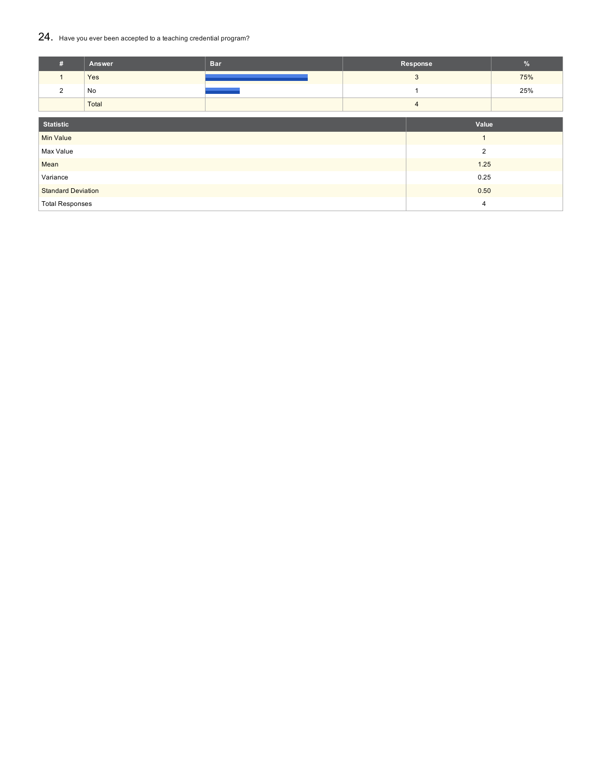### 24. Have you ever been accepted to <sup>a</sup> teaching credential program?

| #                         | Answer | <b>Bar</b> |  | Response       | %   |  |
|---------------------------|--------|------------|--|----------------|-----|--|
| $\mathbf{1}$              | Yes    |            |  | 3              | 75% |  |
| $\overline{2}$            | No     |            |  |                | 25% |  |
|                           | Total  |            |  | $\overline{4}$ |     |  |
|                           |        |            |  |                |     |  |
| <b>Statistic</b><br>Value |        |            |  |                |     |  |
| <b>Min Value</b>          |        |            |  | $\mathbf{1}$   |     |  |
| Max Value                 |        |            |  | $\overline{2}$ |     |  |
| Mean                      |        |            |  | $1.25$         |     |  |
| Variance                  |        |            |  | 0.25           |     |  |
| <b>Standard Deviation</b> |        |            |  | 0.50           |     |  |
| <b>Total Responses</b>    |        |            |  | 4              |     |  |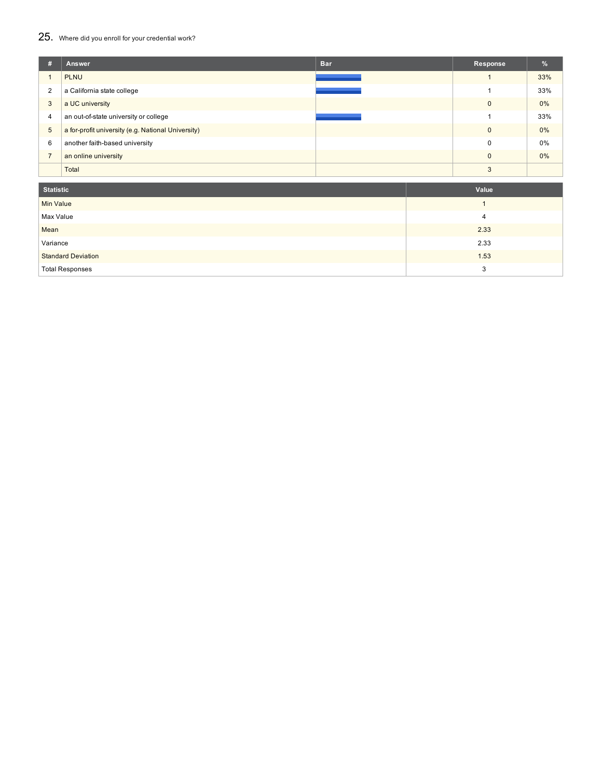### 25. Where did you enroll for your credential work?

| # | Answer                                             | <b>Bar</b> | Response     | $\frac{9}{6}$ |
|---|----------------------------------------------------|------------|--------------|---------------|
|   | <b>PLNU</b>                                        |            |              | 33%           |
| 2 | a California state college                         |            |              | 33%           |
| 3 | a UC university                                    |            | $\mathbf{0}$ | 0%            |
| 4 | an out-of-state university or college              |            |              | 33%           |
| 5 | a for-profit university (e.g. National University) |            | $\mathbf{0}$ | 0%            |
| 6 | another faith-based university                     |            | 0            | 0%            |
|   | an online university                               |            | $\mathbf{0}$ | 0%            |
|   | Total                                              |            | 3            |               |

| Statistic                 | Value |
|---------------------------|-------|
| <b>Min Value</b>          |       |
| Max Value                 | 4     |
| Mean                      | 2.33  |
| Variance                  | 2.33  |
| <b>Standard Deviation</b> | 1.53  |
| <b>Total Responses</b>    | 3     |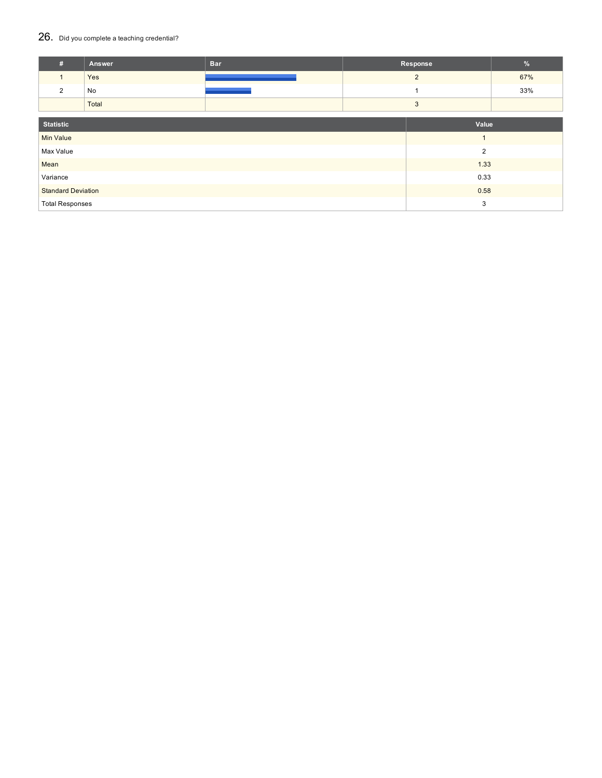#### 26. Did you complete a teaching credential?

| #                         | Answer | <b>Bar</b> |   | Response       | %   |
|---------------------------|--------|------------|---|----------------|-----|
| $\mathbf{1}$              | Yes    |            |   | $\overline{2}$ | 67% |
| $\overline{2}$            | No     |            |   |                | 33% |
|                           | Total  |            | 3 |                |     |
|                           |        |            |   |                |     |
| <b>Statistic</b>          |        |            |   | Value          |     |
| <b>Min Value</b>          |        |            |   | $\overline{1}$ |     |
| Max Value                 |        |            |   | $\overline{2}$ |     |
| Mean                      |        |            |   | 1.33           |     |
| Variance                  |        |            |   | 0.33           |     |
| <b>Standard Deviation</b> |        |            |   | 0.58           |     |
| <b>Total Responses</b>    |        |            |   | 3              |     |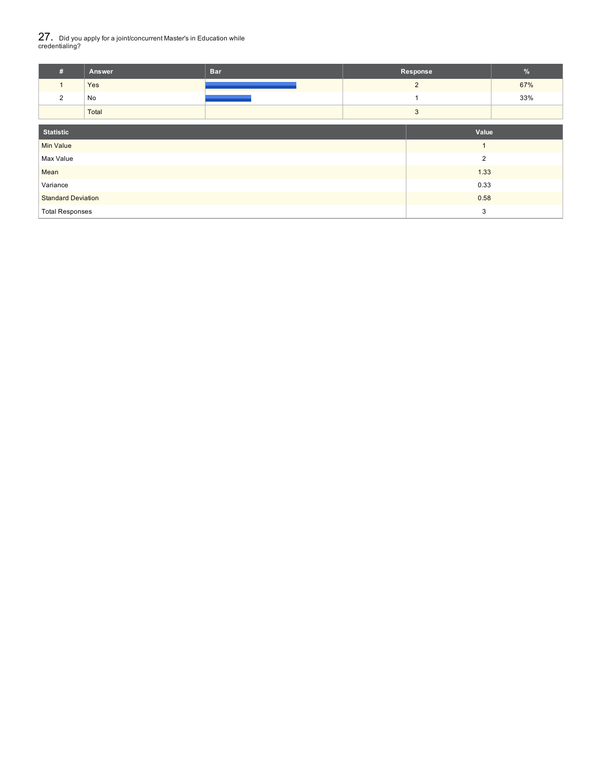# 27. Did you apply for <sup>a</sup> joint/concurrent Master's in Education while credentialing?

| Answer | <b>Bar</b> | Response | w   |
|--------|------------|----------|-----|
| Yes    |            |          | 67% |
| No     |            |          | 33% |
| Total  |            |          |     |

| <b>Statistic</b>          | Value          |
|---------------------------|----------------|
| <b>Min Value</b>          |                |
| Max Value                 | $\overline{2}$ |
| Mean                      | 1.33           |
| Variance                  | 0.33           |
| <b>Standard Deviation</b> | 0.58           |
| <b>Total Responses</b>    | 3              |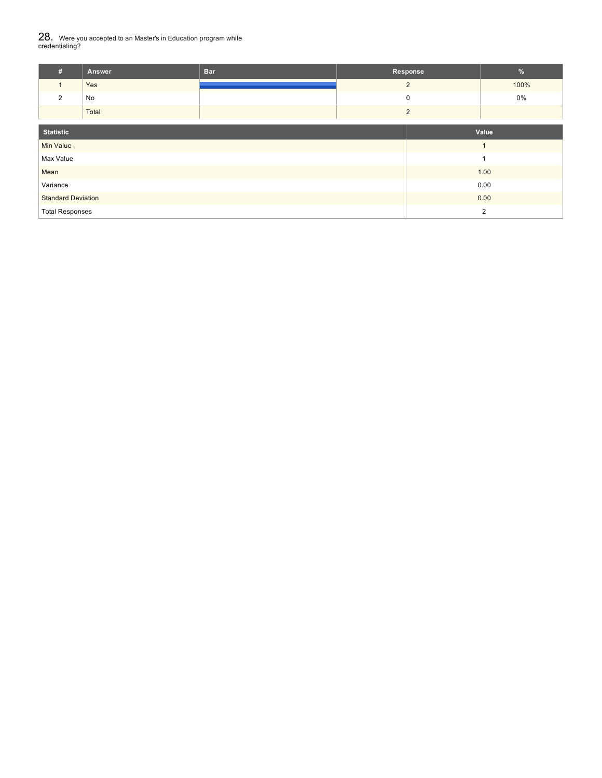# $28_\cdot$  Were you accepted to an Master's in Education program while<br>credentialing?

| #                         | Answer | <b>Bar</b> | Response       | $\%$           |  |
|---------------------------|--------|------------|----------------|----------------|--|
| $\mathbf{1}$              | Yes    |            | $\overline{2}$ | 100%           |  |
| $\overline{2}$            | No     |            | 0              | $0\%$          |  |
|                           | Total  |            | $\overline{2}$ |                |  |
| <b>Statistic</b><br>Value |        |            |                |                |  |
| <b>Min Value</b>          |        |            |                |                |  |
| Max Value                 |        |            |                |                |  |
| Mean                      |        |            |                | 1.00           |  |
| Variance                  |        |            |                | 0.00           |  |
| <b>Standard Deviation</b> |        |            |                | 0.00           |  |
| <b>Total Responses</b>    |        |            |                | $\overline{2}$ |  |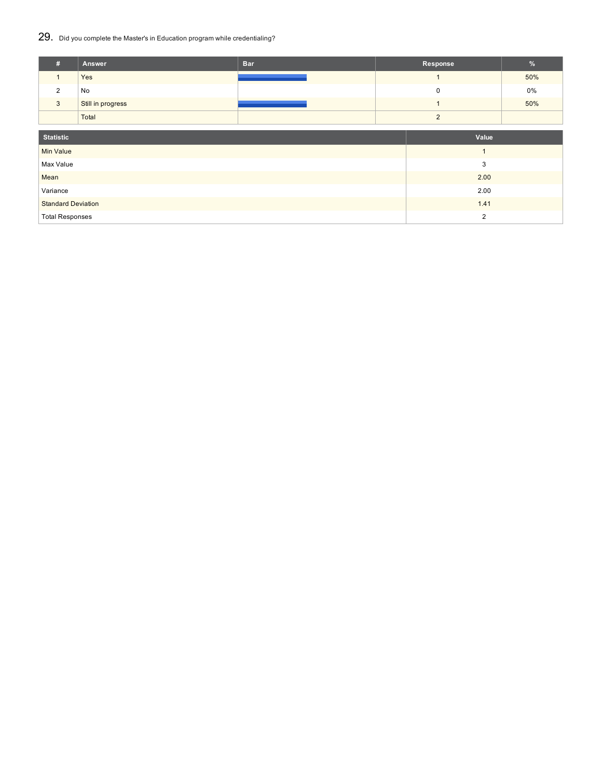### 29. Did you complete the Master's in Education program while credentialing?

| #                         | Answer            | <b>Bar</b> |  | Response       | $\%$ |
|---------------------------|-------------------|------------|--|----------------|------|
| $\mathbf{1}$              | Yes               |            |  | $\mathbf{1}$   | 50%  |
| $\overline{2}$            | No                |            |  | 0              | 0%   |
| $\mathbf{3}$              | Still in progress |            |  | ٠              | 50%  |
|                           | Total             |            |  | $\overline{2}$ |      |
|                           |                   |            |  |                |      |
| <b>Statistic</b>          |                   |            |  | Value          |      |
| <b>Min Value</b>          |                   |            |  | $\overline{1}$ |      |
| Max Value                 |                   |            |  | 3              |      |
| Mean                      |                   |            |  | 2.00           |      |
| Variance                  |                   |            |  | 2.00           |      |
| <b>Standard Deviation</b> |                   |            |  | 1.41           |      |
| <b>Total Responses</b>    |                   |            |  | $\overline{2}$ |      |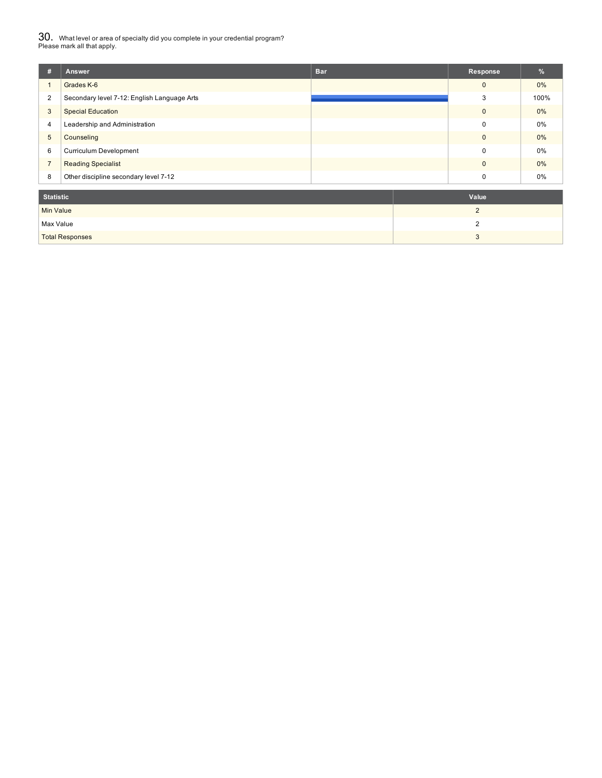$30_\cdot$  What level or area of specialty did you complete in your credential program?<br>Please mark all that apply.

| #                | Answer                                      | <b>Bar</b> | Response       | %     |
|------------------|---------------------------------------------|------------|----------------|-------|
| $\mathbf{1}$     | Grades K-6                                  |            | $\mathbf{0}$   | $0\%$ |
| 2                | Secondary level 7-12: English Language Arts |            | 3              | 100%  |
| $\overline{3}$   | <b>Special Education</b>                    |            | $\mathbf{0}$   | $0\%$ |
| 4                | Leadership and Administration               |            | $\mathbf 0$    | 0%    |
| $5\phantom{.0}$  | Counseling                                  |            | $\mathbf 0$    | $0\%$ |
| 6                | <b>Curriculum Development</b>               |            | 0              | 0%    |
| $\overline{7}$   | <b>Reading Specialist</b>                   |            | $\mathbf{0}$   | $0\%$ |
| 8                | Other discipline secondary level 7-12       |            | 0              | 0%    |
| <b>Statistic</b> |                                             |            | Value          |       |
| <b>Min Value</b> |                                             |            | $\overline{2}$ |       |
| Max Value        |                                             |            | $\overline{2}$ |       |

Total Responses 3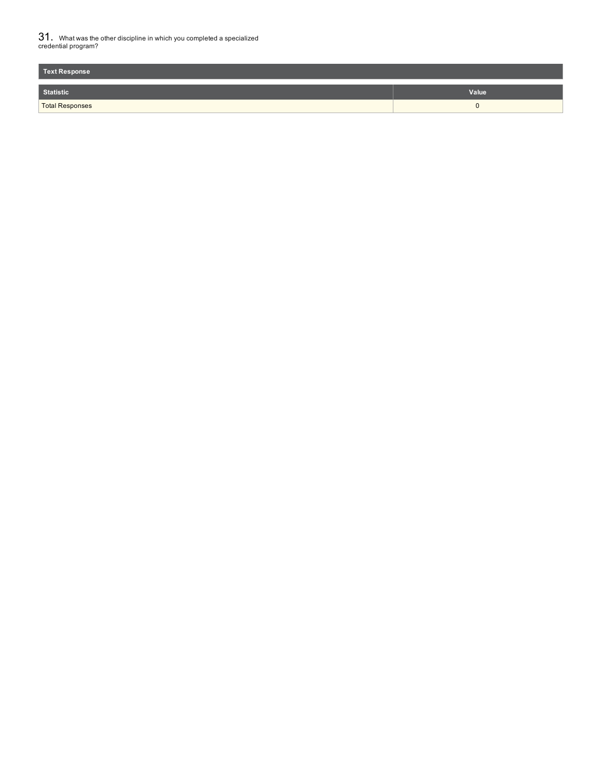$31_\cdot$  What was the other discipline in which you completed a specialized<br>credential program?

| <b>Text Response</b>   |       |
|------------------------|-------|
| <b>Statistic</b>       | Value |
| <b>Total Responses</b> | . .   |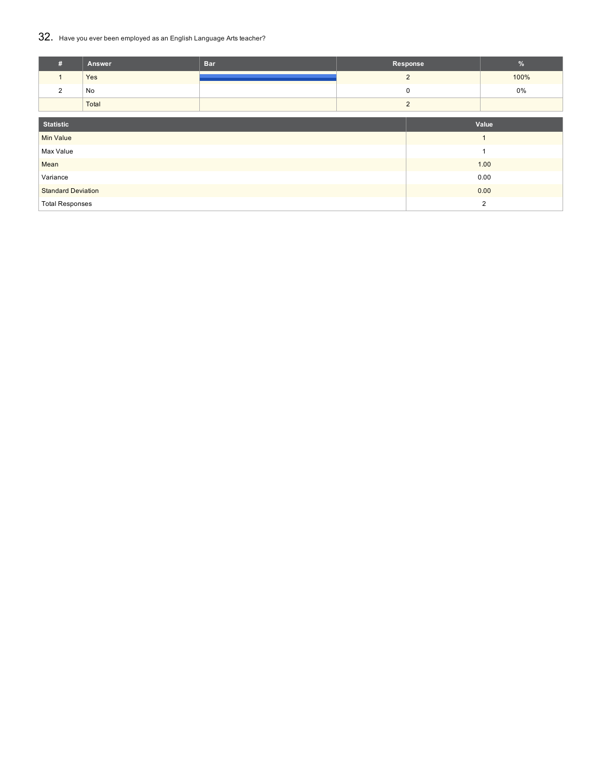### 32. Have you ever been employed as an English Language Arts teacher?

| #                         | Answer | <b>Bar</b> | Response       |  | %              |
|---------------------------|--------|------------|----------------|--|----------------|
|                           | Yes    |            | $\overline{2}$ |  | 100%           |
| 2                         | No     |            | 0              |  | 0%             |
|                           | Total  |            | $\overline{2}$ |  |                |
| <b>Statistic</b><br>Value |        |            |                |  |                |
|                           |        |            |                |  |                |
| <b>Min Value</b>          |        |            |                |  | $\overline{1}$ |
| Max Value                 |        |            |                |  | 1              |
| Mean                      |        |            |                |  | 1.00           |
| Variance                  |        |            |                |  | 0.00           |
| <b>Standard Deviation</b> |        |            |                |  | 0.00           |
| <b>Total Responses</b>    |        |            |                |  | $\overline{2}$ |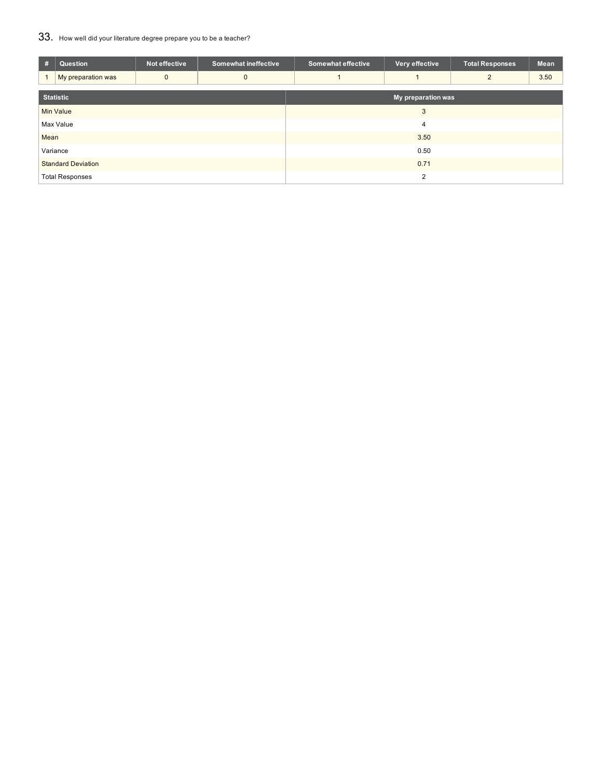## 33. How well did your literature degree prepare you to be a teacher?

| #                         | Question           | Not effective | <b>Somewhat ineffective</b> | <b>Somewhat effective</b> | Very effective | <b>Total Responses</b> | Mean |  |
|---------------------------|--------------------|---------------|-----------------------------|---------------------------|----------------|------------------------|------|--|
|                           | My preparation was | $\mathbf{0}$  | 0                           |                           |                | $\mathcal{P}$          | 3.50 |  |
| <b>Statistic</b>          |                    |               | My preparation was          |                           |                |                        |      |  |
| <b>Min Value</b>          |                    |               | 3                           |                           |                |                        |      |  |
| Max Value                 |                    |               | 4                           |                           |                |                        |      |  |
| Mean                      |                    |               |                             | 3.50                      |                |                        |      |  |
| Variance                  |                    |               | 0.50                        |                           |                |                        |      |  |
| <b>Standard Deviation</b> |                    |               | 0.71                        |                           |                |                        |      |  |
| <b>Total Responses</b>    |                    |               |                             | $\overline{2}$            |                |                        |      |  |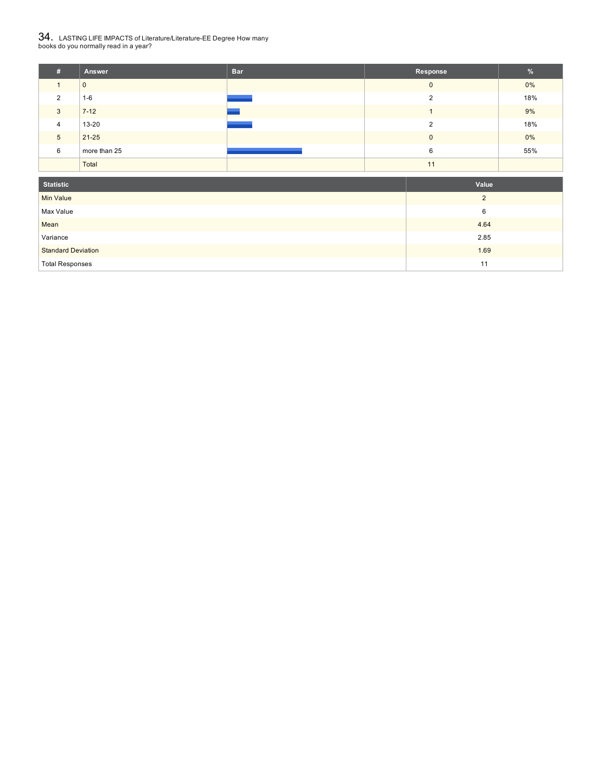# $34_\cdot$  LASTING LIFE IMPACTS of Literature/Literature-EE Degree How many<br>books do you normally read in a year?

| m. | <b>Answer</b> | <b>Bar</b> | Response | $\frac{9}{6}$ |
|----|---------------|------------|----------|---------------|
|    | 0             |            | $\Omega$ | $0\%$         |
| 2  | $1-6$         |            |          | 18%           |
| 3  | $7 - 12$      |            |          | 9%            |
| 4  | 13-20         |            | C        | 18%           |
| 5  | $21 - 25$     |            | $\Omega$ | $0\%$         |
| 6  | more than 25  |            | 6        | 55%           |
|    | Total         |            | 11       |               |

| <b>Statistic</b>          | Value          |
|---------------------------|----------------|
| <b>Min Value</b>          | $\overline{2}$ |
| Max Value                 | 6              |
| Mean                      | 4.64           |
| Variance                  | 2.85           |
| <b>Standard Deviation</b> | 1.69           |
| <b>Total Responses</b>    | 11             |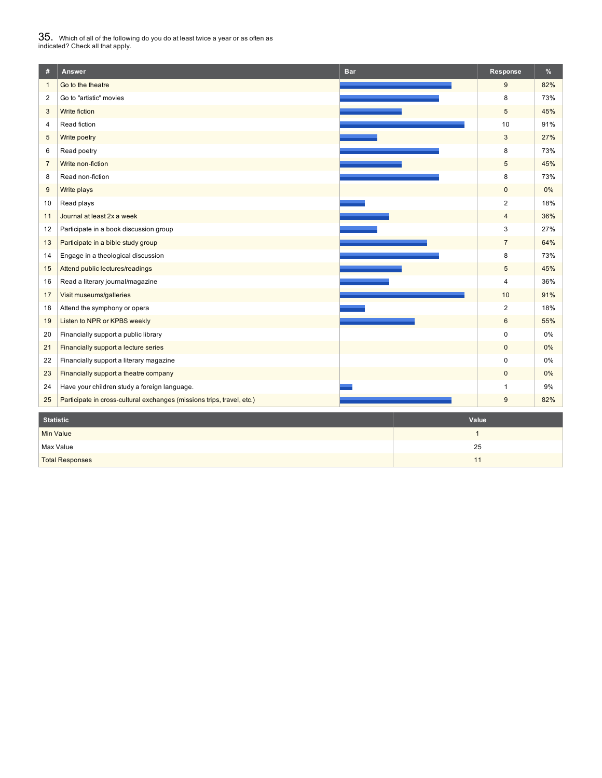# $35_\cdot$  Which of all of the following do you do at least twice a year or as often as<br>indicated? Check all that apply.

| #                                | Answer                                                                 | <b>Bar</b> | Response       | $\%$  |  |
|----------------------------------|------------------------------------------------------------------------|------------|----------------|-------|--|
| $\mathbf{1}$                     | Go to the theatre                                                      |            | 9              | 82%   |  |
| $\overline{2}$                   | Go to "artistic" movies                                                |            | 8              | 73%   |  |
| 3                                | Write fiction                                                          |            | 5              | 45%   |  |
| 4                                | Read fiction                                                           |            | 10             | 91%   |  |
| 5                                | Write poetry                                                           |            | 3              | 27%   |  |
| 6                                | Read poetry                                                            |            | 8              | 73%   |  |
| $\overline{7}$                   | Write non-fiction                                                      |            | 5              | 45%   |  |
| 8                                | Read non-fiction                                                       |            | 8              | 73%   |  |
| 9                                | Write plays                                                            |            | $\overline{0}$ | 0%    |  |
| 10                               | Read plays                                                             |            | $\overline{2}$ | 18%   |  |
| 11                               | Journal at least 2x a week                                             |            | $\overline{4}$ | 36%   |  |
| 12                               | Participate in a book discussion group                                 |            | 3              | 27%   |  |
| 13                               | Participate in a bible study group                                     |            | $\overline{7}$ | 64%   |  |
| 14                               | Engage in a theological discussion                                     |            | 8              | 73%   |  |
| 15                               | Attend public lectures/readings                                        |            | 5              | 45%   |  |
| 16                               | Read a literary journal/magazine                                       |            | $\overline{4}$ | 36%   |  |
| 17                               | Visit museums/galleries                                                |            | 10             | 91%   |  |
| 18                               | Attend the symphony or opera                                           |            | $\overline{2}$ | 18%   |  |
| 19                               | Listen to NPR or KPBS weekly                                           |            | $6\phantom{a}$ | 55%   |  |
| 20                               | Financially support a public library                                   |            | 0              | 0%    |  |
| 21                               | Financially support a lecture series                                   |            | $\overline{0}$ | 0%    |  |
| 22                               | Financially support a literary magazine                                |            | 0              | 0%    |  |
| 23                               | Financially support a theatre company                                  |            | $\mathbf 0$    | $0\%$ |  |
| 24                               | Have your children study a foreign language.                           |            | 1              | 9%    |  |
| 25                               | Participate in cross-cultural exchanges (missions trips, travel, etc.) |            | 9              | 82%   |  |
|                                  | <b>Statistic</b><br>Value                                              |            |                |       |  |
| <b>Min Value</b><br>$\mathbf{1}$ |                                                                        |            |                |       |  |
|                                  | Max Value                                                              | 25         |                |       |  |

**Total Responses 21 August 2018**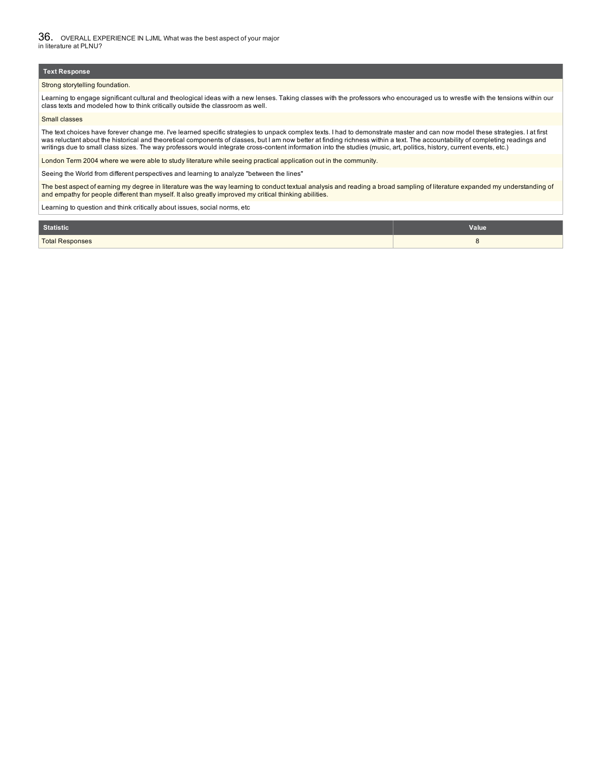#### **Text Response**

#### Strong storytelling foundation.

Learning to engage significant cultural and theological ideas with a new lenses. Taking classes with the professors who encouraged us to wrestle with the tensions within our class texts and modeled how to think critically outside the classroom as well.

#### Small classes

The text choices have forever change me. I've learned specific strategies to unpack complex texts. I had to demonstrate master and can now model these strategies. I at first was reluctant about the historical and theoretical components of classes, but I am now better at finding richness within a text. The accountability of completing readings and writings due to small class sizes. The way professors would integrate cross-content information into the studies (music, art, politics, history, current events, etc.)

London Term 2004 where we were able to study literature while seeing practical application out in the community.

Seeing the World from different perspectives and learning to analyze "between the lines"

The best aspect of earning my degree in literature was the way learning to conduct textual analysis and reading a broad sampling of literature expanded my understanding of and empathy for people different than myself. It also greatly improved my critical thinking abilities.

Learning to question and think critically about issues, social norms, etc

| Statistic              | <b>Value</b> |
|------------------------|--------------|
| <b>Total Responses</b> |              |